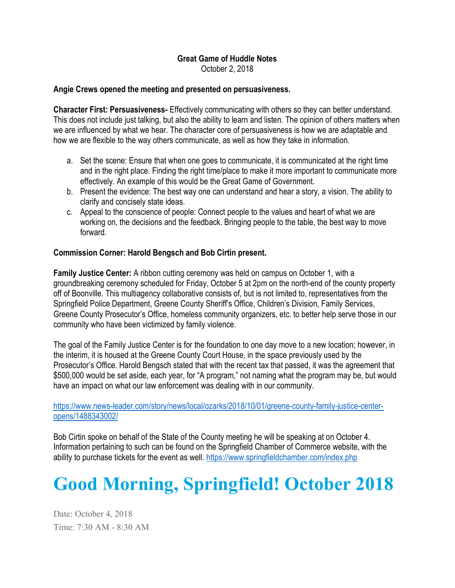#### Great Game of Huddle Notes October 2, 2018

#### Angie Crews opened the meeting and presented on persuasiveness.

Character First: Persuasiveness- Effectively communicating with others so they can better understand. This does not include just talking, but also the ability to learn and listen. The opinion of others matters when we are influenced by what we hear. The character core of persuasiveness is how we are adaptable and how we are flexible to the way others communicate, as well as how they take in information.

- a. Set the scene: Ensure that when one goes to communicate, it is communicated at the right time and in the right place. Finding the right time/place to make it more important to communicate more effectively. An example of this would be the Great Game of Government.
- b. Present the evidence: The best way one can understand and hear a story, a vision. The ability to clarify and concisely state ideas.
- c. Appeal to the conscience of people: Connect people to the values and heart of what we are working on, the decisions and the feedback. Bringing people to the table, the best way to move forward.

## Commission Corner: Harold Bengsch and Bob Cirtin present.

Family Justice Center: A ribbon cutting ceremony was held on campus on October 1, with a groundbreaking ceremony scheduled for Friday, October 5 at 2pm on the north-end of the county property off of Boonville. This multiagency collaborative consists of, but is not limited to, representatives from the Springfield Police Department, Greene County Sheriff's Office, Children's Division, Family Services, Greene County Prosecutor's Office, homeless community organizers, etc. to better help serve those in our community who have been victimized by family violence.

The goal of the Family Justice Center is for the foundation to one day move to a new location; however, in the interim, it is housed at the Greene County Court House, in the space previously used by the Prosecutor's Office. Harold Bengsch stated that with the recent tax that passed, it was the agreement that \$500,000 would be set aside, each year, for "A program," not naming what the program may be, but would have an impact on what our law enforcement was dealing with in our community.

## https://www.news-leader.com/story/news/local/ozarks/2018/10/01/greene-county-family-justice-centeropens/1488343002/

Bob Cirtin spoke on behalf of the State of the County meeting he will be speaking at on October 4. Information pertaining to such can be found on the Springfield Chamber of Commerce website, with the ability to purchase tickets for the event as well. https://www.springfieldchamber.com/index.php

# Good Morning, Springfield! October 2018

Date: October 4, 2018 Time: 7:30 AM - 8:30 AM